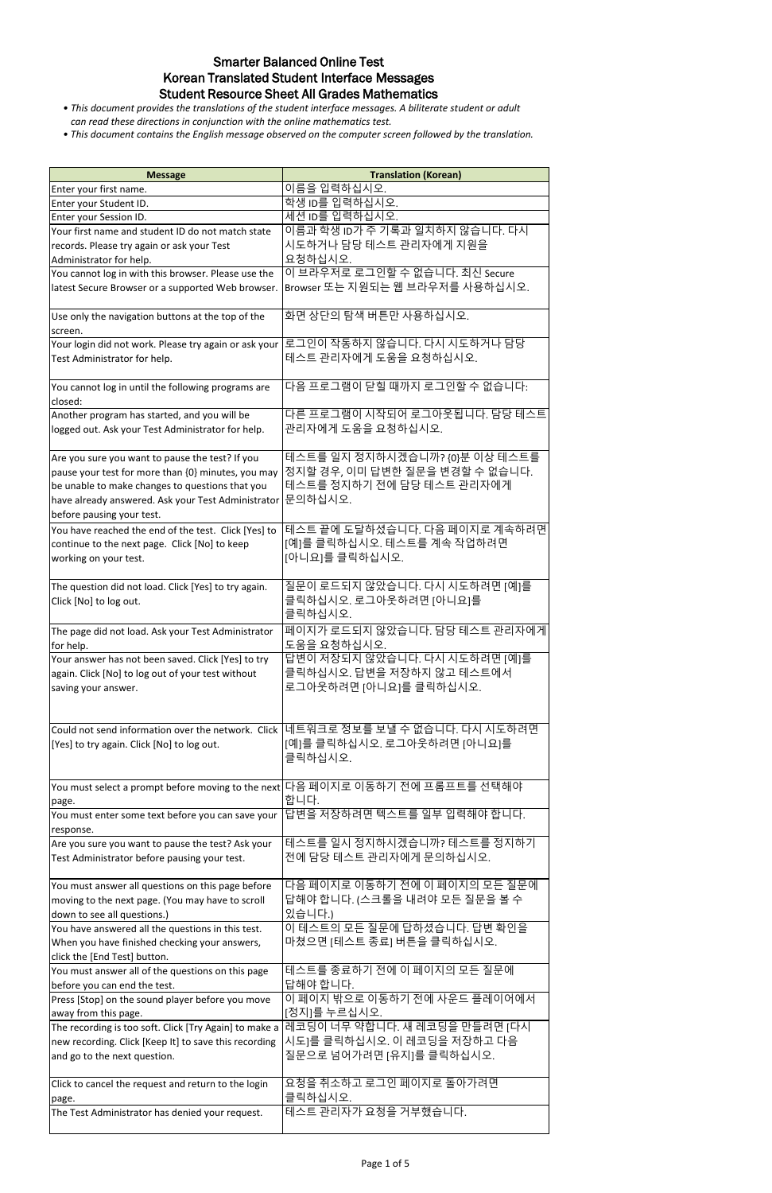| <b>Message</b>                                                                        | <b>Translation (Korean)</b>                                                           |
|---------------------------------------------------------------------------------------|---------------------------------------------------------------------------------------|
| Enter your first name.                                                                | 이름을 입력하십시오.                                                                           |
| Enter your Student ID.                                                                | 학생 ID를 입력하십시오.                                                                        |
| Enter your Session ID.                                                                | 세션 ID를 입력하십시오.                                                                        |
| Your first name and student ID do not match state                                     | 이름과 학생 ID가 주 기록과 일치하지 않습니다. 다시                                                        |
| records. Please try again or ask your Test                                            | 시도하거나 담당 테스트 관리자에게 지원을                                                                |
| Administrator for help.                                                               | 요청하십시오.                                                                               |
| You cannot log in with this browser. Please use the                                   | 이 브라우저로 로그인할 수 없습니다. 최신 Secure                                                        |
| latest Secure Browser or a supported Web browser.                                     | Browser 또는 지원되는 웹 브라우저를 사용하십시오.                                                       |
|                                                                                       |                                                                                       |
| Use only the navigation buttons at the top of the                                     | 화면 상단의 탐색 버튼만 사용하십시오.                                                                 |
| screen.                                                                               | 로그인이 작동하지 않습니다. 다시 시도하거나 담당                                                           |
| Your login did not work. Please try again or ask your<br>Test Administrator for help. | 테스트 관리자에게 도움을 요청하십시오.                                                                 |
|                                                                                       |                                                                                       |
| You cannot log in until the following programs are                                    | 다음 프로그램이 닫힐 때까지 로그인할 수 없습니다.                                                          |
| closed:                                                                               |                                                                                       |
| Another program has started, and you will be                                          | 다른 프로그램이 시작되어 로그아웃됩니다. 담당 테스트                                                         |
| logged out. Ask your Test Administrator for help.                                     | 관리자에게 도움을 요청하십시오.                                                                     |
|                                                                                       |                                                                                       |
| Are you sure you want to pause the test? If you                                       | 데스트를 일지 정지하시겠습니까? {0}분 이상 테스트를                                                        |
| pause your test for more than {0} minutes, you may                                    | 정지할 경우, 이미 답변한 질문을 변경할 수 없습니다.                                                        |
| be unable to make changes to questions that you                                       | 테스트를 정지하기 전에 담당 테스트 관리자에게                                                             |
| have already answered. Ask your Test Administrator                                    | 문의하십시오.                                                                               |
| before pausing your test.                                                             |                                                                                       |
| You have reached the end of the test. Click [Yes] to                                  | 테스트 끝에 도달하셨습니다. 다음 페이지로 계속하려면                                                         |
| continue to the next page. Click [No] to keep                                         | [예]를 클릭하십시오. 테스트를 계속 작업하려면                                                            |
| working on your test.                                                                 | [아니요]를 클릭하십시오.                                                                        |
|                                                                                       |                                                                                       |
| The question did not load. Click [Yes] to try again.                                  | 질문이 로드되지 않았습니다. 다시 시도하려면 [예]를                                                         |
| Click [No] to log out.                                                                | 클릭하십시오. 로그아웃하려면 [아니요]를<br>클릭하십시오.                                                     |
|                                                                                       |                                                                                       |
| The page did not load. Ask your Test Administrator<br>for help.                       | 페이지가 로드되지 않았습니다. 담당 테스트 관리자에게<br>도움을 요청하십시오.                                          |
| Your answer has not been saved. Click [Yes] to try                                    | 답변이 저장되지 않았습니다. 다시 시도하려면 [예]를                                                         |
| again. Click [No] to log out of your test without                                     | 클릭하십시오. 답변을 저장하지 않고 테스트에서                                                             |
| saving your answer.                                                                   | 로그아웃하려면 [아니요]를 클릭하십시오.                                                                |
|                                                                                       |                                                                                       |
|                                                                                       |                                                                                       |
| Could not send information over the network. Click                                    | 네트워크로 정보를 보낼 수 없습니다. 다시 시도하려면                                                         |
| [Yes] to try again. Click [No] to log out.                                            | [예]를 클릭하십시오. 로그아웃하려면 [아니요]를                                                           |
|                                                                                       | 클릭하십시오.                                                                               |
|                                                                                       |                                                                                       |
|                                                                                       | You must select a prompt before moving to the next 다음 페이지로 이동하기 전에 프롬프트를 선택해야<br>합니다. |
| page.<br>You must enter some text before you can save your                            | 답변을 저장하려면 텍스트를 일부 입력해야 합니다.                                                           |
| response.                                                                             |                                                                                       |
| Are you sure you want to pause the test? Ask your                                     | 테스트를 일시 정지하시겠습니까? 테스트를 정지하기                                                           |
| Test Administrator before pausing your test.                                          | 전에 담당 테스트 관리자에게 문의하십시오.                                                               |
|                                                                                       |                                                                                       |
| You must answer all questions on this page before                                     | 다음 페이지로 이동하기 전에 이 페이지의 모든 질문에                                                         |
| moving to the next page. (You may have to scroll                                      | 답해야 합니다. (스크롤을 내려야 모든 질문을 볼 수                                                         |
| down to see all questions.)                                                           | 있습니다.)                                                                                |
| You have answered all the questions in this test.                                     | 이 테스트의 모든 질문에 답하셨습니다. 답변 확인을                                                          |
| When you have finished checking your answers,                                         | 마쳤으면 [테스트 종료] 버튼을 클릭하십시오.                                                             |
| click the [End Test] button.                                                          | 테스트를 종료하기 전에 이 페이지의 모든 질문에                                                            |
| You must answer all of the questions on this page<br>before you can end the test.     | 답해야 합니다.                                                                              |
| Press [Stop] on the sound player before you move                                      | 이 페이지 밖으로 이동하기 전에 사운드 플레이어에서                                                          |
| away from this page.                                                                  | [정지]를 누르십시오.                                                                          |
| The recording is too soft. Click [Try Again] to make a                                | 레코딩이 너무 약합니다. 새 레코딩을 만들려면 [다시                                                         |
| new recording. Click [Keep It] to save this recording                                 | 시도]를 클릭하십시오. 이 레코딩을 저장하고 다음                                                           |
| and go to the next question.                                                          | 질문으로 넘어가려면 [유지]를 클릭하십시오.                                                              |
|                                                                                       |                                                                                       |
| Click to cancel the request and return to the login                                   | 요청을 취소하고 로그인 페이지로 돌아가려면                                                               |
| page.                                                                                 | 클릭하십시오.                                                                               |
| The Test Administrator has denied your request.                                       | 데스트 관리자가 요청을 거부했습니다.                                                                  |
|                                                                                       |                                                                                       |

# Smarter Balanced Online Test Korean Translated Student Interface Messages Student Resource Sheet All Grades Mathematics

- *This document provides the translations of the student interface messages. A biliterate student or adult can read these directions in conjunction with the online mathematics test.*
- *This document contains the English message observed on the computer screen followed by the translation.*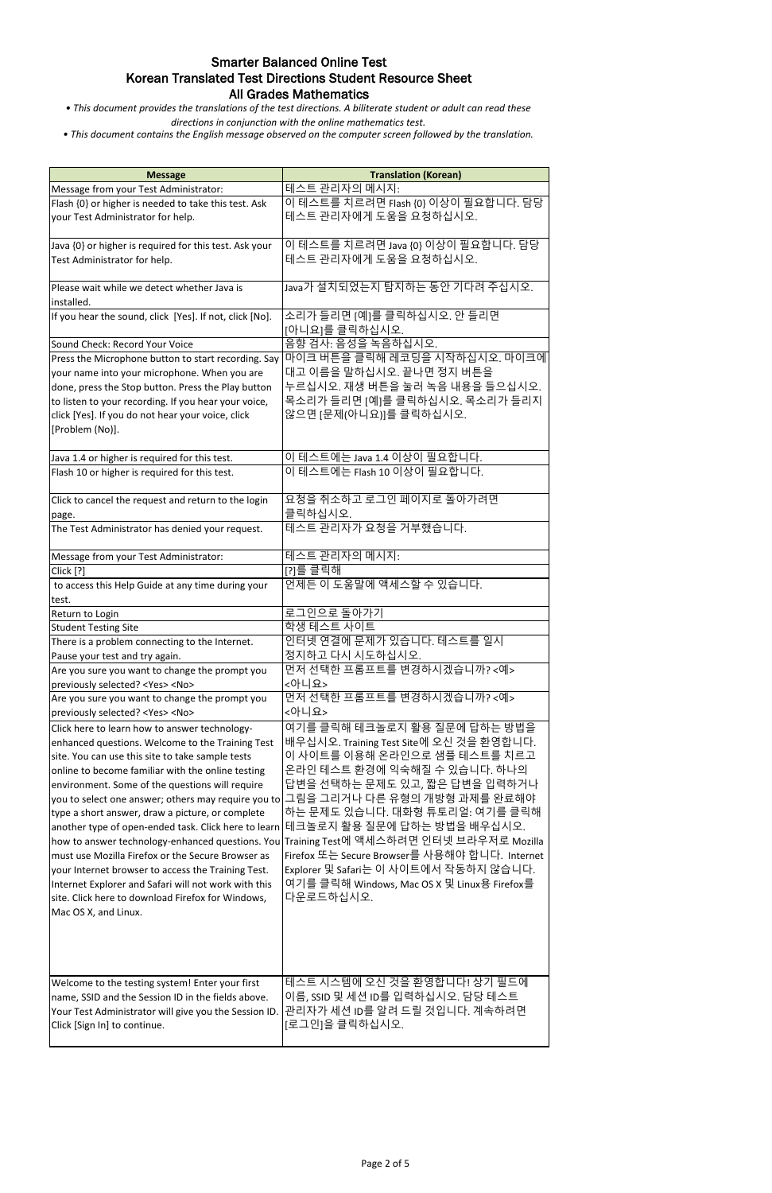*• This document provides the translations of the test directions. A biliterate student or adult can read these directions in conjunction with the online mathematics test.*

| <b>Message</b>                                               | <b>Translation (Korean)</b>                                                              |
|--------------------------------------------------------------|------------------------------------------------------------------------------------------|
| Message from your Test Administrator:                        | <u>테스트 관리자의 메시지:</u>                                                                     |
| Flash {0} or higher is needed to take this test. Ask         | 이 테스트를 치르려면 Flash {0} 이상이 필요합니다. 담당                                                      |
| your Test Administrator for help.                            | 테스트 관리자에게 도움을 요청하십시오.                                                                    |
| Java {0} or higher is required for this test. Ask your       | 이 테스트를 치르려면 Java {0} 이상이 필요합니다. 담당                                                       |
| Test Administrator for help.                                 | 테스트 관리자에게 도움을 요청하십시오.                                                                    |
| Please wait while we detect whether Java is<br>installed.    | Java가 설치되었는지 탐지하는 동안 기다려 주십시오.                                                           |
| If you hear the sound, click [Yes]. If not, click [No].      | 소리가 들리면 [예]를 클릭하십시오. 안 들리면<br>[아니요]를 클릭하십시오.                                             |
| Sound Check: Record Your Voice                               | 음향 검사: 음성을 녹음하십시오.                                                                       |
| Press the Microphone button to start recording. Say          | 마이크 버튼을 클릭해 레코딩을 시작하십시오. 마이크에                                                            |
| your name into your microphone. When you are                 | 대고 이름을 말하십시오. 끝나면 정지 버튼을                                                                 |
| done, press the Stop button. Press the Play button           | 누르십시오. 재생 버튼을 눌러 녹음 내용을 들으십시오.                                                           |
| to listen to your recording. If you hear your voice,         | 목소리가 들리면 [예]를 클릭하십시오. 목소리가 들리지                                                           |
| click [Yes]. If you do not hear your voice, click            | 않으면 [문제(아니요)]를 클릭하십시오.                                                                   |
| [Problem (No)].                                              |                                                                                          |
| Java 1.4 or higher is required for this test.                | 이 테스트에는 Java 1.4 이상이 필요합니다.                                                              |
| Flash 10 or higher is required for this test.                | 이 테스트에는 Flash 10 이상이 필요합니다.                                                              |
| Click to cancel the request and return to the login<br>page. | 요청을 취소하고 로그인 페이지로 돌아가려면<br>클릭하십시오.                                                       |
| The Test Administrator has denied your request.              | 테스트 관리자가 요청을 거부했습니다.                                                                     |
| Message from your Test Administrator:                        | 테스트 관리자의 메시지:                                                                            |
| Click [?]                                                    | [?]를 클릭해                                                                                 |
| to access this Help Guide at any time during your            | 언제든 이 도움말에 액세스할 수 있습니다.                                                                  |
| test.                                                        |                                                                                          |
| Return to Login                                              | 로그인으로 돌아가기                                                                               |
| <b>Student Testing Site</b>                                  | 학생 테스트 사이트                                                                               |
| There is a problem connecting to the Internet.               | 인터넷 연결에 문제가 있습니다. 테스트를 일시                                                                |
| Pause your test and try again.                               | 정지하고 다시 시도하십시오.                                                                          |
| Are you sure you want to change the prompt you               | 먼저 선택한 프롬프트를 변경하시겠습니까?<예>                                                                |
| previously selected? <yes> <no></no></yes>                   | <아니요>                                                                                    |
| Are you sure you want to change the prompt you               | 먼저 선택한 프롬프트를 변경하시겠습니까?<예>                                                                |
| previously selected? <yes> <no></no></yes>                   | <아니요>                                                                                    |
| Click here to learn how to answer technology-                | 여기를 클릭해 테크놀로지 활용 질문에 답하는 방법을                                                             |
| enhanced questions. Welcome to the Training Test             | 배우십시오. Training Test Site에 오신 것을 환영합니다.                                                  |
| site. You can use this site to take sample tests             | 이 사이트를 이용해 온라인으로 샘플 테스트를 치르고                                                             |
| online to become familiar with the online testing            | 온라인 테스트 환경에 익숙해질 수 있습니다. 하나의                                                             |
| environment. Some of the questions will require              | 답변을 선택하는 문제도 있고, 짧은 답변을 입력하거나                                                            |
|                                                              | you to select one answer; others may require you to 그림을 그리거나 다른 유형의 개방형 과제를 완료해야         |
| type a short answer, draw a picture, or complete             | 하는 문제도 있습니다. 대화형 튜토리얼: 여기를 클릭해                                                           |
| another type of open-ended task. Click here to learn         | 테크놀로지 활용 질문에 답하는 방법을 배우십시오.                                                              |
|                                                              | how to answer technology-enhanced questions. You Training Test에 액세스하려면 인터넷 브라우저로 Mozilla |
| must use Mozilla Firefox or the Secure Browser as            | Firefox 또는 Secure Browser를 사용해야 합니다. Internet                                            |
| your Internet browser to access the Training Test.           | Explorer 및 Safari는 이 사이트에서 작동하지 않습니다.                                                    |
| Internet Explorer and Safari will not work with this         | 여기를 클릭해 Windows, Mac OS X 및 Linux용 Firefox를                                              |
| site. Click here to download Firefox for Windows,            | 다운로드하십시오.                                                                                |
|                                                              |                                                                                          |
| Mac OS X, and Linux.                                         |                                                                                          |
| Welcome to the testing system! Enter your first              | 테스트 시스템에 오신 것을 환영합니다! 상기 필드에                                                             |
| name, SSID and the Session ID in the fields above.           | 이름, SSID 및 세션 ID를 입력하십시오. 담당 테스트                                                         |
| Your Test Administrator will give you the Session ID.        | 관리자가 세션 ID를 알려 드릴 것입니다. 계속하려면                                                            |
| Click [Sign In] to continue.                                 | [로그인]을 클릭하십시오.                                                                           |
|                                                              |                                                                                          |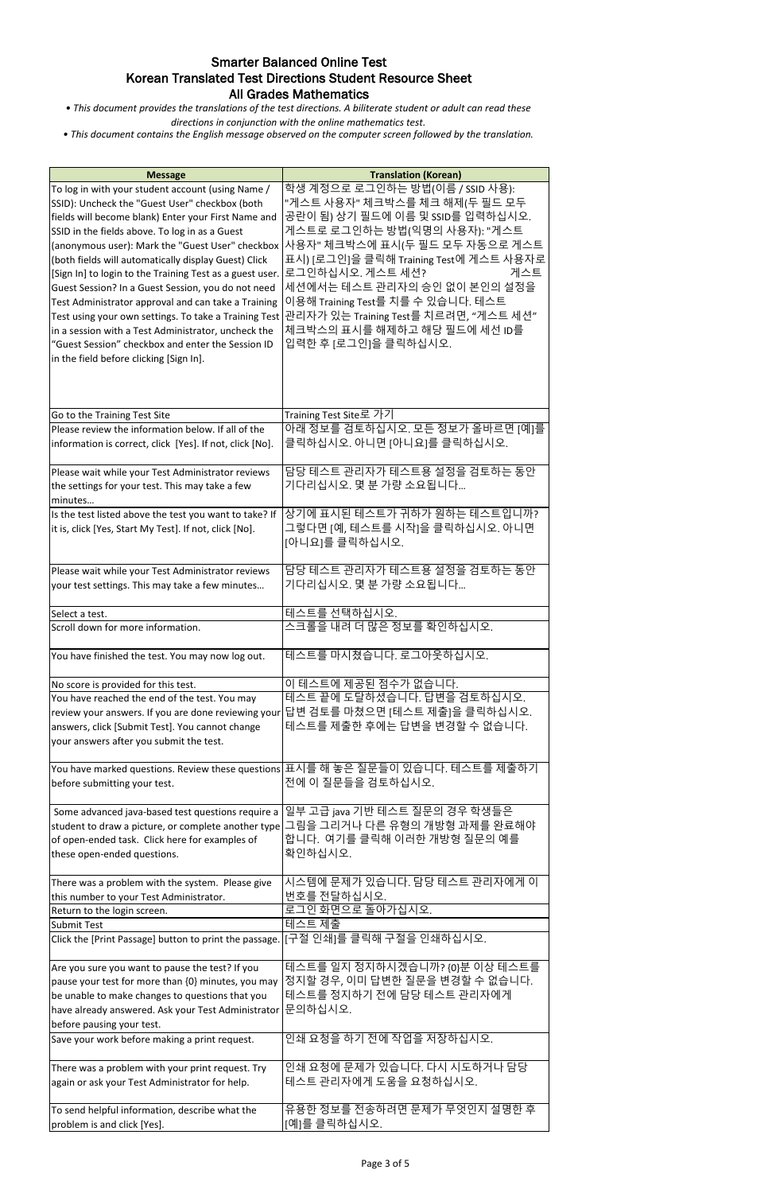*• This document provides the translations of the test directions. A biliterate student or adult can read these directions in conjunction with the online mathematics test.*

| <b>Message</b>                                                                                                                                                                                                                                                                                                                                                                                                                                                                                                                                                                                                                                                | <b>Translation (Korean)</b>                                                                                                                                                                                                                                                                                                                                                                                                                                         |
|---------------------------------------------------------------------------------------------------------------------------------------------------------------------------------------------------------------------------------------------------------------------------------------------------------------------------------------------------------------------------------------------------------------------------------------------------------------------------------------------------------------------------------------------------------------------------------------------------------------------------------------------------------------|---------------------------------------------------------------------------------------------------------------------------------------------------------------------------------------------------------------------------------------------------------------------------------------------------------------------------------------------------------------------------------------------------------------------------------------------------------------------|
| To log in with your student account (using Name /<br>SSID): Uncheck the "Guest User" checkbox (both<br>fields will become blank) Enter your First Name and<br>SSID in the fields above. To log in as a Guest<br>(both fields will automatically display Guest) Click<br>[Sign In] to login to the Training Test as a guest user.<br>Guest Session? In a Guest Session, you do not need<br>Test Administrator approval and can take a Training<br>Test using your own settings. To take a Training Test<br>in a session with a Test Administrator, uncheck the<br>"Guest Session" checkbox and enter the Session ID<br>in the field before clicking [Sign In]. | 학생 계정으로 로그인하는 방법(이름 / SSID 사용):<br>"게스트 사용자" 체크박스를 체크 해제(두 필드 모두<br>공란이 됨) 상기 필드에 이름 및 SSID를 입력하십시오.<br>게스트로 로그인하는 방법(익명의 사용자): "게스트<br>(anonymous user): Mark the "Guest User" checkbox  사용자" 체크박스에 표시(두 필드 모두 자동으로 게스트<br>표시) [로그인]을 클릭해 Training Test에 게스트 사용자로<br>로그인하십시오. 게스트 세션?<br>게스트<br>세션에서는 테스트 관리자의 승인 없이 본인의 설정을<br>이용해 Training Test를 치를 수 있습니다. 테스트<br>관리자가 있는 Training Test를 치르려면, "게스트 세션"<br>체크박스의 표시를 해제하고 해당 필드에 세선 ID를<br>입력한 후 [로그인]을 클릭하십시오. |
| Go to the Training Test Site                                                                                                                                                                                                                                                                                                                                                                                                                                                                                                                                                                                                                                  | Training Test Site로 가기                                                                                                                                                                                                                                                                                                                                                                                                                                              |
| Please review the information below. If all of the<br>information is correct, click [Yes]. If not, click [No].                                                                                                                                                                                                                                                                                                                                                                                                                                                                                                                                                | 아래 정보를 검토하십시오. 모든 정보가 올바르면 [예]를<br>클릭하십시오. 아니면 [아니요]를 클릭하십시오.                                                                                                                                                                                                                                                                                                                                                                                                       |
| Please wait while your Test Administrator reviews<br>the settings for your test. This may take a few<br>minutes                                                                                                                                                                                                                                                                                                                                                                                                                                                                                                                                               | 담당 테스트 관리자가 테스트용 설정을 검토하는 동안<br>기다리십시오. 몇 분 가량 소요됩니다                                                                                                                                                                                                                                                                                                                                                                                                                |
| Is the test listed above the test you want to take? If<br>it is, click [Yes, Start My Test]. If not, click [No].                                                                                                                                                                                                                                                                                                                                                                                                                                                                                                                                              | 상기에 표시된 테스트가 귀하가 원하는 테스트입니까?<br>그렇다면 [예, 테스트를 시작]을 클릭하십시오. 아니면<br>[아니요]를 클릭하십시오.                                                                                                                                                                                                                                                                                                                                                                                    |
| Please wait while your Test Administrator reviews<br>your test settings. This may take a few minutes                                                                                                                                                                                                                                                                                                                                                                                                                                                                                                                                                          | 담당 테스트 관리자가 테스트용 설정을 검토하는 동안<br>기다리십시오. 몇 분 가량 소요됩니다                                                                                                                                                                                                                                                                                                                                                                                                                |
| Select a test.                                                                                                                                                                                                                                                                                                                                                                                                                                                                                                                                                                                                                                                | 테스트를 선택하십시오.                                                                                                                                                                                                                                                                                                                                                                                                                                                        |
| Scroll down for more information.                                                                                                                                                                                                                                                                                                                                                                                                                                                                                                                                                                                                                             | 스크롤을 내려 더 많은 정보를 확인하십시오.                                                                                                                                                                                                                                                                                                                                                                                                                                            |
| You have finished the test. You may now log out.                                                                                                                                                                                                                                                                                                                                                                                                                                                                                                                                                                                                              | 테스트를 마시쳤습니다. 로그아웃하십시오.                                                                                                                                                                                                                                                                                                                                                                                                                                              |
| No score is provided for this test.                                                                                                                                                                                                                                                                                                                                                                                                                                                                                                                                                                                                                           | 이 테스트에 제공된 점수가 없습니다.                                                                                                                                                                                                                                                                                                                                                                                                                                                |
| You have reached the end of the test. You may<br>answers, click [Submit Test]. You cannot change<br>your answers after you submit the test.                                                                                                                                                                                                                                                                                                                                                                                                                                                                                                                   | 테스트 끝에 도달하셨습니다. 답변을 검토하십시오.<br>review your answers. If you are done reviewing your $ \mathbb{H}$ 검토를 마쳤으면 [테스트 제출]을 클릭하십시오.<br>테스트를 제출한 후에는 답변을 변경할 수 없습니다.                                                                                                                                                                                                                                                                                                         |
| before submitting your test.                                                                                                                                                                                                                                                                                                                                                                                                                                                                                                                                                                                                                                  | You have marked questions. Review these questions 표시를 해 놓은 질문들이 있습니다. 테스트를 제출하기<br>전에 이 질문들을 검토하십시오.                                                                                                                                                                                                                                                                                                                                                                |
| Some advanced java-based test questions require a<br>student to draw a picture, or complete another type<br>of open-ended task. Click here for examples of<br>these open-ended questions.                                                                                                                                                                                                                                                                                                                                                                                                                                                                     | 일부 고급 java 기반 테스트 질문의 경우 학생들은<br>그림을 그리거나 다른 유형의 개방형 과제를 완료해야<br>합니다. 여기를 클릭해 이러한 개방형 질문의 예를<br>확인하십시오.                                                                                                                                                                                                                                                                                                                                                             |
| There was a problem with the system. Please give<br>this number to your Test Administrator.                                                                                                                                                                                                                                                                                                                                                                                                                                                                                                                                                                   | 시스템에 문제가 있습니다. 담당 테스트 관리자에게 이<br>번호를 전달하십시오.                                                                                                                                                                                                                                                                                                                                                                                                                        |
| Return to the login screen.                                                                                                                                                                                                                                                                                                                                                                                                                                                                                                                                                                                                                                   | 로그인 화면으로 돌아가십시오.                                                                                                                                                                                                                                                                                                                                                                                                                                                    |
| <b>Submit Test</b>                                                                                                                                                                                                                                                                                                                                                                                                                                                                                                                                                                                                                                            | 테스트 제출                                                                                                                                                                                                                                                                                                                                                                                                                                                              |
| Click the [Print Passage] button to print the passage. [[구절 인쇄]를 클릭해 구절을 인쇄하십시오.                                                                                                                                                                                                                                                                                                                                                                                                                                                                                                                                                                              |                                                                                                                                                                                                                                                                                                                                                                                                                                                                     |
| Are you sure you want to pause the test? If you<br>pause your test for more than {0} minutes, you may<br>be unable to make changes to questions that you<br>have already answered. Ask your Test Administrator<br>before pausing your test.                                                                                                                                                                                                                                                                                                                                                                                                                   | 테스트를 일지 정지하시겠습니까? {0}분 이상 테스트를<br>정지할 경우, 이미 답변한 질문을 변경할 수 없습니다.<br>테스트를 정지하기 전에 담당 테스트 관리자에게<br>문의하십시오.                                                                                                                                                                                                                                                                                                                                                            |
| Save your work before making a print request.                                                                                                                                                                                                                                                                                                                                                                                                                                                                                                                                                                                                                 | 인쇄 요청을 하기 전에 작업을 저장하십시오.                                                                                                                                                                                                                                                                                                                                                                                                                                            |
| There was a problem with your print request. Try<br>again or ask your Test Administrator for help.                                                                                                                                                                                                                                                                                                                                                                                                                                                                                                                                                            | 인쇄 요청에 문제가 있습니다. 다시 시도하거나 담당<br>테스트 관리자에게 도움을 요청하십시오.                                                                                                                                                                                                                                                                                                                                                                                                               |
| To send helpful information, describe what the<br>problem is and click [Yes].                                                                                                                                                                                                                                                                                                                                                                                                                                                                                                                                                                                 | 유용한 정보를 전송하려면 문제가 무엇인지 설명한 후<br>[예]를 클릭하십시오.                                                                                                                                                                                                                                                                                                                                                                                                                        |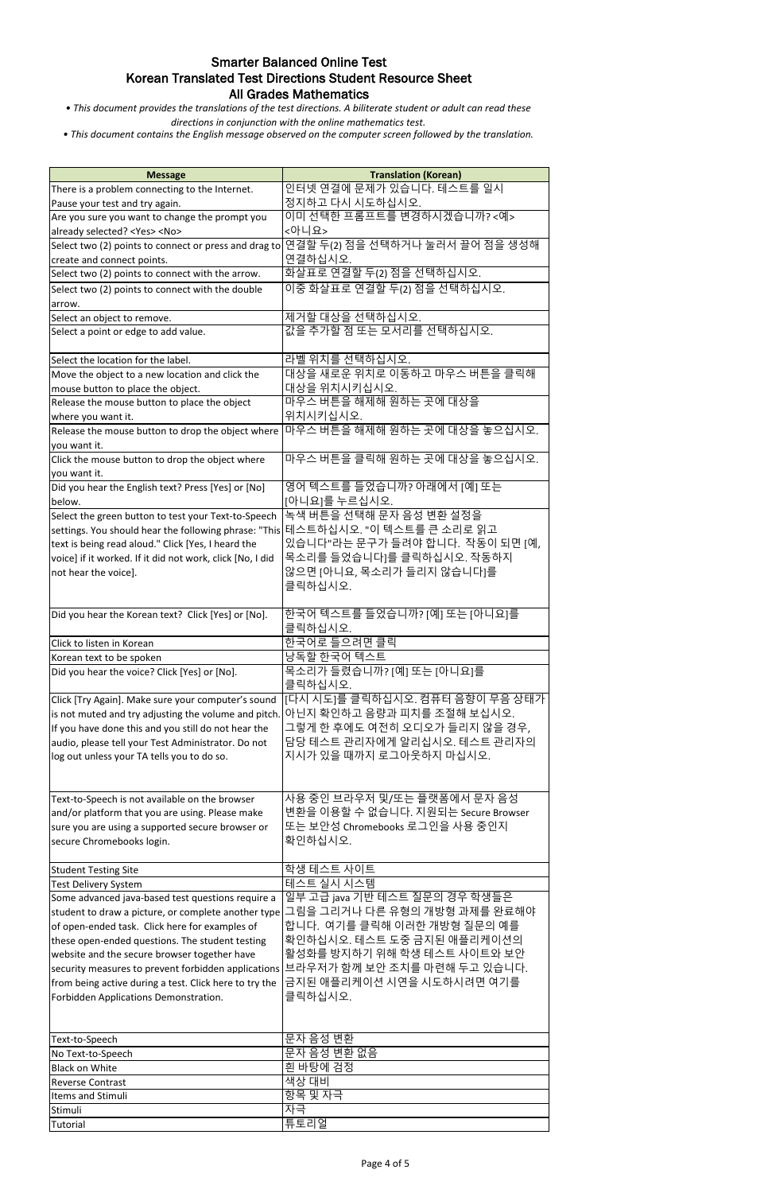*• This document provides the translations of the test directions. A biliterate student or adult can read these directions in conjunction with the online mathematics test.*

| <b>Message</b>                                                                  | <b>Translation (Korean)</b>         |
|---------------------------------------------------------------------------------|-------------------------------------|
| There is a problem connecting to the Internet.                                  | 인터넷 연결에 문제가 있습니다. 테스트를 일시           |
| Pause your test and try again.                                                  | 정지하고 다시 시도하십시오.                     |
| Are you sure you want to change the prompt you                                  | 이미 선택한 프롬프트를 변경하시겠습니까? <예>          |
| already selected? <yes> <no></no></yes>                                         | <아니요>                               |
| Select two (2) points to connect or press and drag to                           | 연결할 두(2) 점을 선택하거나 눌러서 끌어 점을 생성해     |
| create and connect points.                                                      | 연결하십시오.                             |
| Select two (2) points to connect with the arrow.                                | 화살표로 연결할 두(2) 점을 선택하십시오.            |
|                                                                                 | 이중 화살표로 연결할 두(2) 점을 선택하십시오.         |
| Select two (2) points to connect with the double                                |                                     |
| arrow.                                                                          |                                     |
| Select an object to remove.                                                     | 제거할 대상을 선택하십시오.                     |
| Select a point or edge to add value.                                            | 값을 추가할 점 또는 모서리를 선택하십시오.            |
|                                                                                 |                                     |
| Select the location for the label.                                              | 라벨 위치를 선택하십시오.                      |
| Move the object to a new location and click the                                 | 대상을 새로운 위치로 이동하고 마우스 버튼을 클릭해        |
| mouse button to place the object.                                               | 대상을 위치시키십시오.                        |
| Release the mouse button to place the object                                    | 마우스 버튼을 해제해 원하는 곳에 대상을              |
| where you want it.                                                              | 위치시키십시오.                            |
| Release the mouse button to drop the object where                               | 마우스 버튼을 해제해 원하는 곳에 대상을 놓으십시오.       |
| you want it.                                                                    |                                     |
| Click the mouse button to drop the object where                                 | 마우스 버튼을 클릭해 원하는 곳에 대상을 놓으십시오.       |
| you want it.                                                                    |                                     |
| Did you hear the English text? Press [Yes] or [No]                              | 영어 텍스트를 들었습니까? 아래에서 [예] 또는          |
| below.                                                                          | [아니요]를 누르십시오.                       |
| Select the green button to test your Text-to-Speech                             | 녹색 버튼을 선택해 문자 음성 변환 설정을             |
| settings. You should hear the following phrase: "This 테스트하십시오. "이 텍스트를 큰 소리로 읽고 |                                     |
| text is being read aloud." Click [Yes, I heard the                              | 있습니다"라는 문구가 들려야 합니다. 작동이 되면 [예,     |
| voice] if it worked. If it did not work, click [No, I did                       | 목소리를 들었습니다]를 클릭하십시오. 작동하지           |
| not hear the voice].                                                            | 않으면 [아니요, 목소리가 들리지 않습니다]를           |
|                                                                                 | 클릭하십시오.                             |
|                                                                                 |                                     |
| Did you hear the Korean text? Click [Yes] or [No].                              | 한국어 텍스트를 들었습니까? [예] 또는 [아니요]를       |
|                                                                                 | 클릭하십시오.                             |
|                                                                                 |                                     |
| Click to listen in Korean                                                       | 한국어로 들으려면 클릭                        |
| Korean text to be spoken                                                        | 낭독할 한국어 텍스트                         |
| Did you hear the voice? Click [Yes] or [No].                                    | 목소리가 들렸습니까? [예] 또는 [아니요]를           |
|                                                                                 | 클릭하십시오.                             |
| Click [Try Again]. Make sure your computer's sound                              | [다시 시도]를 클릭하십시오. 컴퓨터 음향이 무음 상태가     |
| is not muted and try adjusting the volume and pitch.                            | 아닌지 확인하고 음량과 피치를 조절해 보십시오.          |
| If you have done this and you still do not hear the                             | 그렇게 한 후에도 여전히 오디오가 들리지 않을 경우,       |
| audio, please tell your Test Administrator. Do not                              | 담당 테스트 관리자에게 알리십시오. 테스트 관리자의        |
| log out unless your TA tells you to do so.                                      | 지시가 있을 때까지 로그아웃하지 마십시오.             |
|                                                                                 |                                     |
|                                                                                 |                                     |
| Text-to-Speech is not available on the browser                                  | 사용 중인 브라우저 및/또는 플랫폼에서 문자 음성         |
| and/or platform that you are using. Please make                                 | 변환을 이용할 수 없습니다. 지원되는 Secure Browser |
| sure you are using a supported secure browser or                                | 또는 보안성 Chromebooks 로그인을 사용 중인지      |
| secure Chromebooks login.                                                       | 확인하십시오.                             |
|                                                                                 |                                     |
| <b>Student Testing Site</b>                                                     | 학생 테스트 사이트                          |
| Test Delivery System                                                            | <u> 테스트 실시 시스템</u>                  |
| Some advanced java-based test questions require a                               | 일부 고급 java 기반 테스트 질문의 경우 학생들은       |
| student to draw a picture, or complete another type                             | 그림을 그리거나 다른 유형의 개방형 과제를 완료해야        |
| of open-ended task. Click here for examples of                                  | 합니다. 여기를 클릭해 이러한 개방형 질문의 예를         |
| these open-ended questions. The student testing                                 | 확인하십시오. 테스트 도중 금지된 애플리케이션의          |
| website and the secure browser together have                                    | 활성화를 방지하기 위해 학생 테스트 사이트와 보안         |
| security measures to prevent forbidden applications                             | 브라우저가 함께 보안 조치를 마련해 두고 있습니다.        |
| from being active during a test. Click here to try the                          | 금지된 애플리케이션 시연을 시도하시려면 여기를           |
| Forbidden Applications Demonstration.                                           | 클릭하십시오.                             |
|                                                                                 |                                     |
|                                                                                 |                                     |
| Text-to-Speech                                                                  | 문자 음성 변환                            |
| No Text-to-Speech                                                               | 문자 음성 변환 없음                         |
| <b>Black on White</b>                                                           | 흰 바탕에 검정                            |
|                                                                                 | 색상 대비                               |
| <b>Reverse Contrast</b><br>Items and Stimuli                                    | 항목 및 자극                             |
|                                                                                 | 자극                                  |
| Stimuli                                                                         |                                     |
| <b>Tutorial</b>                                                                 | 튜토리얼                                |